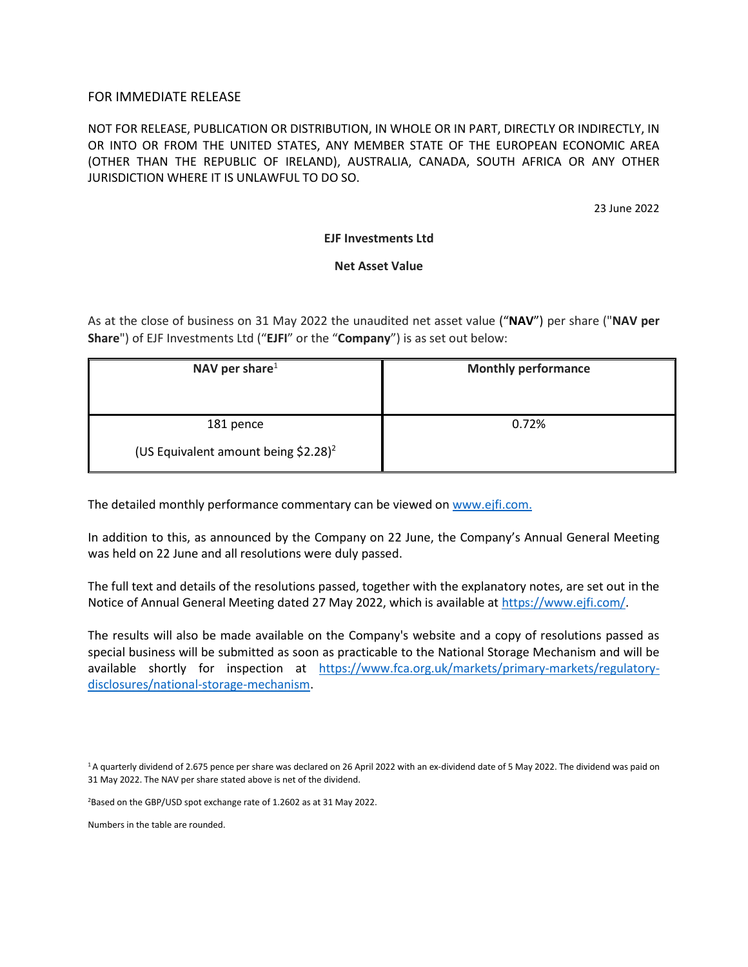# FOR IMMEDIATE RELEASE

NOT FOR RELEASE, PUBLICATION OR DISTRIBUTION, IN WHOLE OR IN PART, DIRECTLY OR INDIRECTLY, IN OR INTO OR FROM THE UNITED STATES, ANY MEMBER STATE OF THE EUROPEAN ECONOMIC AREA (OTHER THAN THE REPUBLIC OF IRELAND), AUSTRALIA, CANADA, SOUTH AFRICA OR ANY OTHER JURISDICTION WHERE IT IS UNLAWFUL TO DO SO.

23 June 2022

# **EJF Investments Ltd**

# **Net Asset Value**

As at the close of business on 31 May 2022 the unaudited net asset value ("**NAV**") per share ("**NAV per Share**") of EJF Investments Ltd ("**EJFI**" or the "**Company**") is as set out below:

| NAV per share $1$                                | <b>Monthly performance</b> |
|--------------------------------------------------|----------------------------|
|                                                  |                            |
| 181 pence                                        | 0.72%                      |
| (US Equivalent amount being \$2.28) <sup>2</sup> |                            |

The detailed monthly performance commentary can be viewed o[n www.ejfi.com.](http://www.ejfi.com/)

In addition to this, as announced by the Company on 22 June, the Company's Annual General Meeting was held on 22 June and all resolutions were duly passed.

The full text and details of the resolutions passed, together with the explanatory notes, are set out in the Notice of Annual General Meeting dated 27 May 2022, which is available at [https://www.ejfi.com/.](https://www.ejfi.com/)

The results will also be made available on the Company's website and a copy of resolutions passed as special business will be submitted as soon as practicable to the National Storage Mechanism and will be available shortly for inspection at [https://www.fca.org.uk/markets/primary-markets/regulatory](https://www.fca.org.uk/markets/primary-markets/regulatory-disclosures/national-storage-mechanism)[disclosures/national-storage-mechanism.](https://www.fca.org.uk/markets/primary-markets/regulatory-disclosures/national-storage-mechanism)

<sup>1</sup>A quarterly dividend of 2.675 pence per share was declared on 26 April 2022 with an ex-dividend date of 5 May 2022. The dividend was paid on 31 May 2022. The NAV per share stated above is net of the dividend.

<sup>2</sup>Based on the GBP/USD spot exchange rate of 1.2602 as at 31 May 2022.

Numbers in the table are rounded.